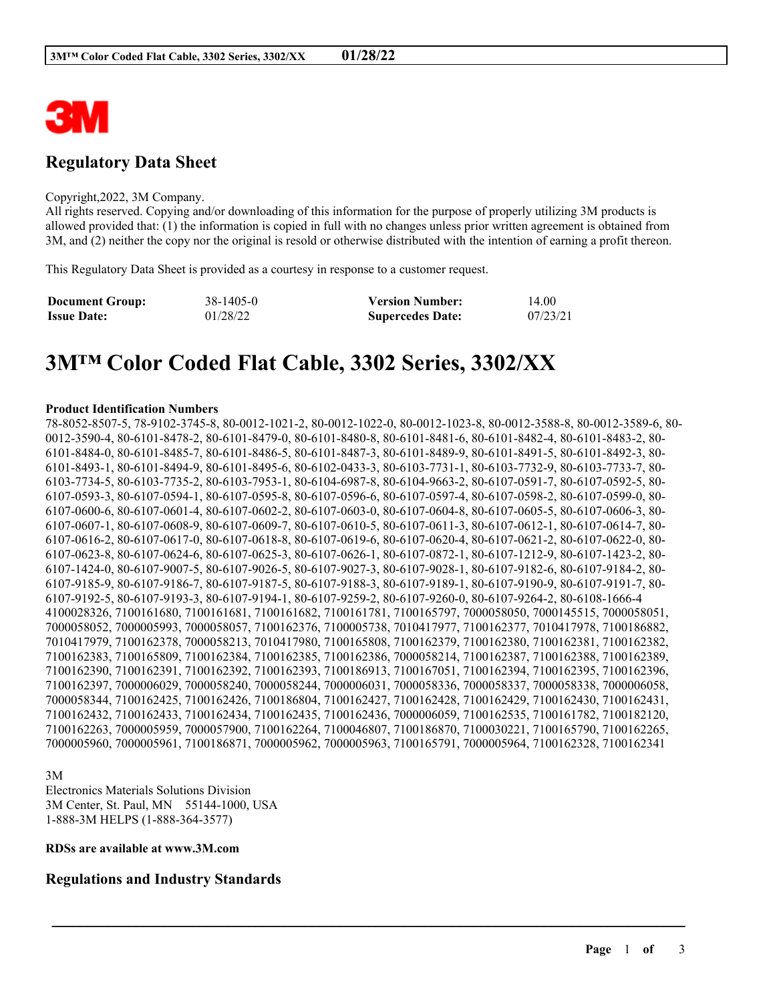

# **Regulatory Data Sheet**

#### Copyright,2022, 3M Company.

All rights reserved. Copying and/or downloading of this information for the purpose of properly utilizing 3M products is allowed provided that: (1) the information is copied in full with no changes unless prior written agreement is obtained from 3M, and (2) neither the copy nor the original is resold or otherwise distributed with the intention of earning a profit thereon.

This Regulatory Data Sheet is provided as a courtesy in response to a customer request.

| <b>Document Group:</b> | 38-1405-0 | <b>Version Number:</b>  | 14.00    |
|------------------------|-----------|-------------------------|----------|
| <b>Issue Date:</b>     | 01/28/22  | <b>Supercedes Date:</b> | 07/23/21 |

# **3M™ Color Coded Flat Cable, 3302 Series, 3302/XX**

#### **Product Identification Numbers**

78-8052-8507-5, 78-9102-3745-8, 80-0012-1021-2, 80-0012-1022-0, 80-0012-1023-8, 80-0012-3588-8, 80-0012-3589-6, 80- 0012-3590-4, 80-6101-8478-2, 80-6101-8479-0, 80-6101-8480-8, 80-6101-8481-6, 80-6101-8482-4, 80-6101-8483-2, 80- 6101-8484-0, 80-6101-8485-7, 80-6101-8486-5, 80-6101-8487-3, 80-6101-8489-9, 80-6101-8491-5, 80-6101-8492-3, 80- 6101-8493-1, 80-6101-8494-9, 80-6101-8495-6, 80-6102-0433-3, 80-6103-7731-1, 80-6103-7732-9, 80-6103-7733-7, 80- 6103-7734-5, 80-6103-7735-2, 80-6103-7953-1, 80-6104-6987-8, 80-6104-9663-2, 80-6107-0591-7, 80-6107-0592-5, 80- 6107-0593-3, 80-6107-0594-1, 80-6107-0595-8, 80-6107-0596-6, 80-6107-0597-4, 80-6107-0598-2, 80-6107-0599-0, 80- 6107-0600-6, 80-6107-0601-4, 80-6107-0602-2, 80-6107-0603-0, 80-6107-0604-8, 80-6107-0605-5, 80-6107-0606-3, 80- 6107-0607-1, 80-6107-0608-9, 80-6107-0609-7, 80-6107-0610-5, 80-6107-0611-3, 80-6107-0612-1, 80-6107-0614-7, 80- 6107-0616-2, 80-6107-0617-0, 80-6107-0618-8, 80-6107-0619-6, 80-6107-0620-4, 80-6107-0621-2, 80-6107-0622-0, 80- 6107-0623-8, 80-6107-0624-6, 80-6107-0625-3, 80-6107-0626-1, 80-6107-0872-1, 80-6107-1212-9, 80-6107-1423-2, 80- 6107-1424-0, 80-6107-9007-5, 80-6107-9026-5, 80-6107-9027-3, 80-6107-9028-1, 80-6107-9182-6, 80-6107-9184-2, 80- 6107-9185-9, 80-6107-9186-7, 80-6107-9187-5, 80-6107-9188-3, 80-6107-9189-1, 80-6107-9190-9, 80-6107-9191-7, 80- 6107-9192-5, 80-6107-9193-3, 80-6107-9194-1, 80-6107-9259-2, 80-6107-9260-0, 80-6107-9264-2, 80-6108-1666-4 4100028326, 7100161680, 7100161681, 7100161682, 7100161781, 7100165797, 7000058050, 7000145515, 7000058051, 7000058052, 7000005993, 7000058057, 7100162376, 7100005738, 7010417977, 7100162377, 7010417978, 7100186882, 7010417979, 7100162378, 7000058213, 7010417980, 7100165808, 7100162379, 7100162380, 7100162381, 7100162382, 7100162383, 7100165809, 7100162384, 7100162385, 7100162386, 7000058214, 7100162387, 7100162388, 7100162389, 7100162390, 7100162391, 7100162392, 7100162393, 7100186913, 7100167051, 7100162394, 7100162395, 7100162396, 7100162397, 7000006029, 7000058240, 7000058244, 7000006031, 7000058336, 7000058337, 7000058338, 7000006058, 7000058344, 7100162425, 7100162426, 7100186804, 7100162427, 7100162428, 7100162429, 7100162430, 7100162431, 7100162432, 7100162433, 7100162434, 7100162435, 7100162436, 7000006059, 7100162535, 7100161782, 7100182120, 7100162263, 7000005959, 7000057900, 7100162264, 7100046807, 7100186870, 7100030221, 7100165790, 7100162265, 7000005960, 7000005961, 7100186871, 7000005962, 7000005963, 7100165791, 7000005964, 7100162328, 7100162341

\_\_\_\_\_\_\_\_\_\_\_\_\_\_\_\_\_\_\_\_\_\_\_\_\_\_\_\_\_\_\_\_\_\_\_\_\_\_\_\_\_\_\_\_\_\_\_\_\_\_\_\_\_\_\_\_\_\_\_\_\_\_\_\_\_\_\_\_\_\_\_\_\_\_\_\_\_\_\_\_\_\_\_\_\_\_\_\_\_\_

3M

Electronics Materials Solutions Division 3M Center, St. Paul, MN 55144-1000, USA 1-888-3M HELPS (1-888-364-3577)

#### **RDSs are available at www.3M.com**

# **Regulations and Industry Standards**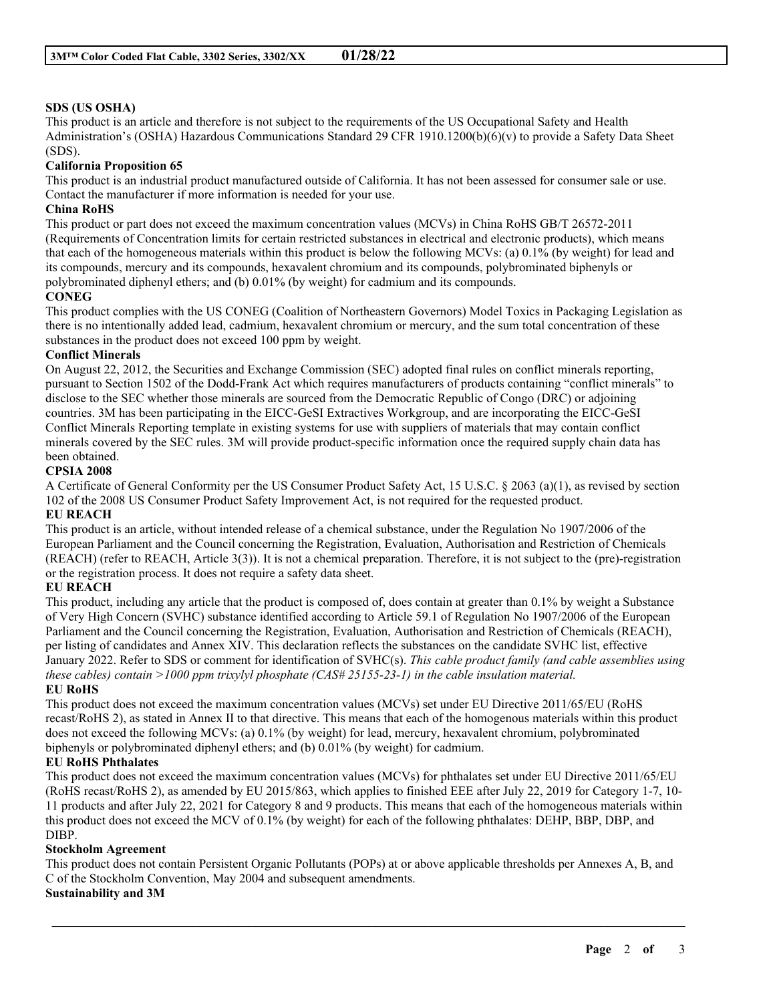## **SDS (US OSHA)**

This product is an article and therefore is not subject to the requirements of the US Occupational Safety and Health Administration's (OSHA) Hazardous Communications Standard 29 CFR 1910.1200(b)(6)(v) to provide a Safety Data Sheet (SDS).

#### **California Proposition 65**

This product is an industrial product manufactured outside of California. It has not been assessed for consumer sale or use. Contact the manufacturer if more information is needed for your use.

#### **China RoHS**

This product or part does not exceed the maximum concentration values (MCVs) in China RoHS GB/T 26572-2011 (Requirements of Concentration limits for certain restricted substances in electrical and electronic products), which means that each of the homogeneous materials within this product is below the following MCVs: (a) 0.1% (by weight) for lead and its compounds, mercury and its compounds, hexavalent chromium and its compounds, polybrominated biphenyls or polybrominated diphenyl ethers; and (b) 0.01% (by weight) for cadmium and its compounds.

#### **CONEG**

This product complies with the US CONEG (Coalition of Northeastern Governors) Model Toxics in Packaging Legislation as there is no intentionally added lead, cadmium, hexavalent chromium or mercury, and the sum total concentration of these substances in the product does not exceed 100 ppm by weight.

#### **Conflict Minerals**

On August 22, 2012, the Securities and Exchange Commission (SEC) adopted final rules on conflict minerals reporting, pursuant to Section 1502 of the Dodd-Frank Act which requires manufacturers of products containing "conflict minerals" to disclose to the SEC whether those minerals are sourced from the Democratic Republic of Congo (DRC) or adjoining countries. 3M has been participating in the EICC-GeSI Extractives Workgroup, and are incorporating the EICC-GeSI Conflict Minerals Reporting template in existing systems for use with suppliers of materials that may contain conflict minerals covered by the SEC rules. 3M will provide product-specific information once the required supply chain data has been obtained.

#### **CPSIA 2008**

A Certificate of General Conformity per the US Consumer Product Safety Act, 15 U.S.C. § 2063 (a)(1), as revised by section 102 of the 2008 US Consumer Product Safety Improvement Act, is not required for the requested product.

## **EU REACH**

This product is an article, without intended release of a chemical substance, under the Regulation No 1907/2006 of the European Parliament and the Council concerning the Registration, Evaluation, Authorisation and Restriction of Chemicals (REACH) (refer to REACH, Article 3(3)). It is not a chemical preparation. Therefore, it is not subject to the (pre)-registration or the registration process. It does not require a safety data sheet.

#### **EU REACH**

This product, including any article that the product is composed of, does contain at greater than 0.1% by weight a Substance of Very High Concern (SVHC) substance identified according to Article 59.1 of Regulation No 1907/2006 of the European Parliament and the Council concerning the Registration, Evaluation, Authorisation and Restriction of Chemicals (REACH), per listing of candidates and Annex XIV. This declaration reflects the substances on the candidate SVHC list, effective January 2022. Refer to SDS or comment for identification of SVHC(s). *This cable product family (and cable assemblies using these cables) contain >1000 ppm trixylyl phosphate (CAS# 25155-23-1) in the cable insulation material.* **EU RoHS**

This product does not exceed the maximum concentration values (MCVs) set under EU Directive 2011/65/EU (RoHS recast/RoHS 2), as stated in Annex II to that directive. This means that each of the homogenous materials within this product does not exceed the following MCVs: (a) 0.1% (by weight) for lead, mercury, hexavalent chromium, polybrominated biphenyls or polybrominated diphenyl ethers; and (b) 0.01% (by weight) for cadmium.

#### **EU RoHS Phthalates**

This product does not exceed the maximum concentration values (MCVs) for phthalates set under EU Directive 2011/65/EU (RoHS recast/RoHS 2), as amended by EU 2015/863, which applies to finished EEE after July 22, 2019 for Category 1-7, 10- 11 products and after July 22, 2021 for Category 8 and 9 products. This means that each of the homogeneous materials within this product does not exceed the MCV of 0.1% (by weight) for each of the following phthalates: DEHP, BBP, DBP, and DIBP.

#### **Stockholm Agreement**

This product does not contain Persistent Organic Pollutants (POPs) at or above applicable thresholds per Annexes A, B, and C of the Stockholm Convention, May 2004 and subsequent amendments.

\_\_\_\_\_\_\_\_\_\_\_\_\_\_\_\_\_\_\_\_\_\_\_\_\_\_\_\_\_\_\_\_\_\_\_\_\_\_\_\_\_\_\_\_\_\_\_\_\_\_\_\_\_\_\_\_\_\_\_\_\_\_\_\_\_\_\_\_\_\_\_\_\_\_\_\_\_\_\_\_\_\_\_\_\_\_\_\_\_\_

#### **Sustainability and 3M**